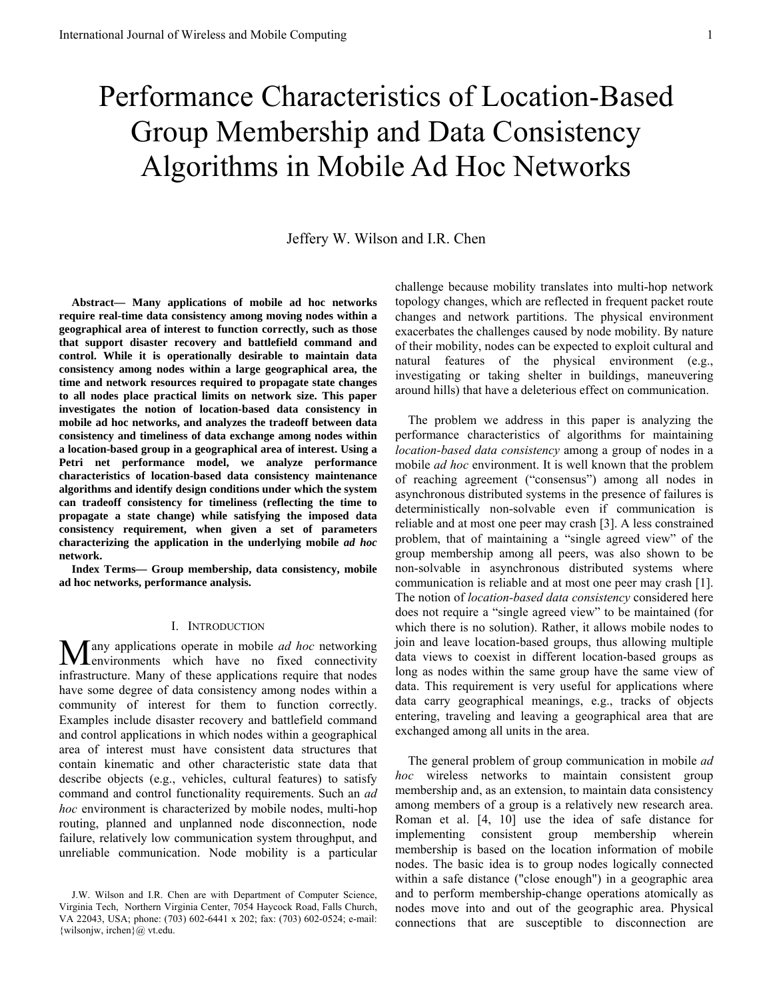# Performance Characteristics of Location-Based Group Membership and Data Consistency Algorithms in Mobile Ad Hoc Networks

# Jeffery W. Wilson and I.R. Chen

**Abstract— Many applications of mobile ad hoc networks require real-time data consistency among moving nodes within a geographical area of interest to function correctly, such as those that support disaster recovery and battlefield command and control. While it is operationally desirable to maintain data consistency among nodes within a large geographical area, the time and network resources required to propagate state changes to all nodes place practical limits on network size. This paper investigates the notion of location-based data consistency in mobile ad hoc networks, and analyzes the tradeoff between data consistency and timeliness of data exchange among nodes within a location-based group in a geographical area of interest. Using a Petri net performance model, we analyze performance characteristics of location-based data consistency maintenance algorithms and identify design conditions under which the system can tradeoff consistency for timeliness (reflecting the time to propagate a state change) while satisfying the imposed data consistency requirement, when given a set of parameters characterizing the application in the underlying mobile** *ad hoc* **network.** 

**Index Terms— Group membership, data consistency, mobile ad hoc networks, performance analysis.** 

#### I. INTRODUCTION

any applications operate in mobile *ad hoc* networking Many applications operate in mobile *ad hoc* networking<br>
environments which have no fixed connectivity infrastructure. Many of these applications require that nodes have some degree of data consistency among nodes within a community of interest for them to function correctly. Examples include disaster recovery and battlefield command and control applications in which nodes within a geographical area of interest must have consistent data structures that contain kinematic and other characteristic state data that describe objects (e.g., vehicles, cultural features) to satisfy command and control functionality requirements. Such an *ad hoc* environment is characterized by mobile nodes, multi-hop routing, planned and unplanned node disconnection, node failure, relatively low communication system throughput, and unreliable communication. Node mobility is a particular

challenge because mobility translates into multi-hop network topology changes, which are reflected in frequent packet route changes and network partitions. The physical environment exacerbates the challenges caused by node mobility. By nature of their mobility, nodes can be expected to exploit cultural and natural features of the physical environment (e.g., investigating or taking shelter in buildings, maneuvering around hills) that have a deleterious effect on communication.

The problem we address in this paper is analyzing the performance characteristics of algorithms for maintaining *location-based data consistency* among a group of nodes in a mobile *ad hoc* environment. It is well known that the problem of reaching agreement ("consensus") among all nodes in asynchronous distributed systems in the presence of failures is deterministically non-solvable even if communication is reliable and at most one peer may crash [3]. A less constrained problem, that of maintaining a "single agreed view" of the group membership among all peers, was also shown to be non-solvable in asynchronous distributed systems where communication is reliable and at most one peer may crash [1]. The notion of *location-based data consistency* considered here does not require a "single agreed view" to be maintained (for which there is no solution). Rather, it allows mobile nodes to join and leave location-based groups, thus allowing multiple data views to coexist in different location-based groups as long as nodes within the same group have the same view of data. This requirement is very useful for applications where data carry geographical meanings, e.g., tracks of objects entering, traveling and leaving a geographical area that are exchanged among all units in the area.

The general problem of group communication in mobile *ad hoc* wireless networks to maintain consistent group membership and, as an extension, to maintain data consistency among members of a group is a relatively new research area. Roman et al. [4, 10] use the idea of safe distance for implementing consistent group membership wherein membership is based on the location information of mobile nodes. The basic idea is to group nodes logically connected within a safe distance ("close enough") in a geographic area and to perform membership-change operations atomically as nodes move into and out of the geographic area. Physical connections that are susceptible to disconnection are

J.W. Wilson and I.R. Chen are with Department of Computer Science, Virginia Tech, Northern Virginia Center, 7054 Haycock Road, Falls Church, VA 22043, USA; phone: (703) 602-6441 x 202; fax: (703) 602-0524; e-mail: {wilsonjw, irchen}@ vt.edu.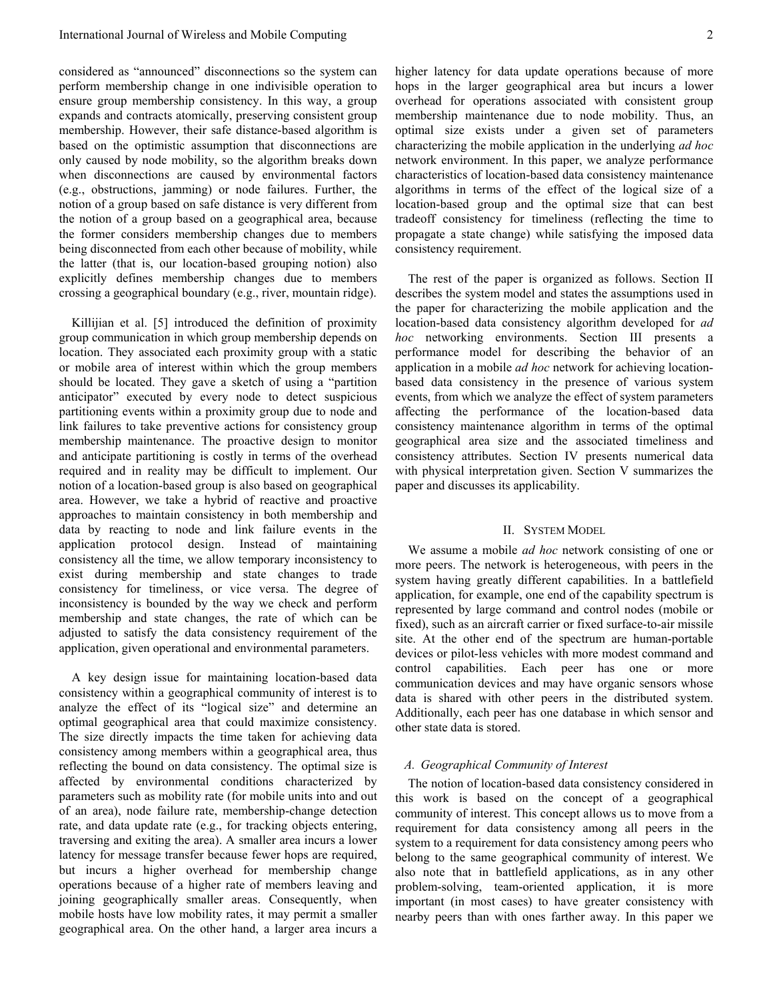considered as "announced" disconnections so the system can perform membership change in one indivisible operation to ensure group membership consistency. In this way, a group expands and contracts atomically, preserving consistent group membership. However, their safe distance-based algorithm is based on the optimistic assumption that disconnections are only caused by node mobility, so the algorithm breaks down when disconnections are caused by environmental factors (e.g., obstructions, jamming) or node failures. Further, the notion of a group based on safe distance is very different from the notion of a group based on a geographical area, because the former considers membership changes due to members being disconnected from each other because of mobility, while the latter (that is, our location-based grouping notion) also explicitly defines membership changes due to members crossing a geographical boundary (e.g., river, mountain ridge).

Killijian et al. [5] introduced the definition of proximity group communication in which group membership depends on location. They associated each proximity group with a static or mobile area of interest within which the group members should be located. They gave a sketch of using a "partition anticipator" executed by every node to detect suspicious partitioning events within a proximity group due to node and link failures to take preventive actions for consistency group membership maintenance. The proactive design to monitor and anticipate partitioning is costly in terms of the overhead required and in reality may be difficult to implement. Our notion of a location-based group is also based on geographical area. However, we take a hybrid of reactive and proactive approaches to maintain consistency in both membership and data by reacting to node and link failure events in the application protocol design. Instead of maintaining consistency all the time, we allow temporary inconsistency to exist during membership and state changes to trade consistency for timeliness, or vice versa. The degree of inconsistency is bounded by the way we check and perform membership and state changes, the rate of which can be adjusted to satisfy the data consistency requirement of the application, given operational and environmental parameters.

A key design issue for maintaining location-based data consistency within a geographical community of interest is to analyze the effect of its "logical size" and determine an optimal geographical area that could maximize consistency. The size directly impacts the time taken for achieving data consistency among members within a geographical area, thus reflecting the bound on data consistency. The optimal size is affected by environmental conditions characterized by parameters such as mobility rate (for mobile units into and out of an area), node failure rate, membership-change detection rate, and data update rate (e.g., for tracking objects entering, traversing and exiting the area). A smaller area incurs a lower latency for message transfer because fewer hops are required, but incurs a higher overhead for membership change operations because of a higher rate of members leaving and joining geographically smaller areas. Consequently, when mobile hosts have low mobility rates, it may permit a smaller geographical area. On the other hand, a larger area incurs a

higher latency for data update operations because of more hops in the larger geographical area but incurs a lower overhead for operations associated with consistent group membership maintenance due to node mobility. Thus, an optimal size exists under a given set of parameters characterizing the mobile application in the underlying *ad hoc* network environment. In this paper, we analyze performance characteristics of location-based data consistency maintenance algorithms in terms of the effect of the logical size of a location-based group and the optimal size that can best tradeoff consistency for timeliness (reflecting the time to propagate a state change) while satisfying the imposed data consistency requirement.

The rest of the paper is organized as follows. Section II describes the system model and states the assumptions used in the paper for characterizing the mobile application and the location-based data consistency algorithm developed for *ad hoc* networking environments. Section III presents a performance model for describing the behavior of an application in a mobile *ad hoc* network for achieving locationbased data consistency in the presence of various system events, from which we analyze the effect of system parameters affecting the performance of the location-based data consistency maintenance algorithm in terms of the optimal geographical area size and the associated timeliness and consistency attributes. Section IV presents numerical data with physical interpretation given. Section V summarizes the paper and discusses its applicability.

#### II. SYSTEM MODEL

We assume a mobile *ad hoc* network consisting of one or more peers. The network is heterogeneous, with peers in the system having greatly different capabilities. In a battlefield application, for example, one end of the capability spectrum is represented by large command and control nodes (mobile or fixed), such as an aircraft carrier or fixed surface-to-air missile site. At the other end of the spectrum are human-portable devices or pilot-less vehicles with more modest command and control capabilities. Each peer has one or more communication devices and may have organic sensors whose data is shared with other peers in the distributed system. Additionally, each peer has one database in which sensor and other state data is stored.

## *A. Geographical Community of Interest*

The notion of location-based data consistency considered in this work is based on the concept of a geographical community of interest. This concept allows us to move from a requirement for data consistency among all peers in the system to a requirement for data consistency among peers who belong to the same geographical community of interest. We also note that in battlefield applications, as in any other problem-solving, team-oriented application, it is more important (in most cases) to have greater consistency with nearby peers than with ones farther away. In this paper we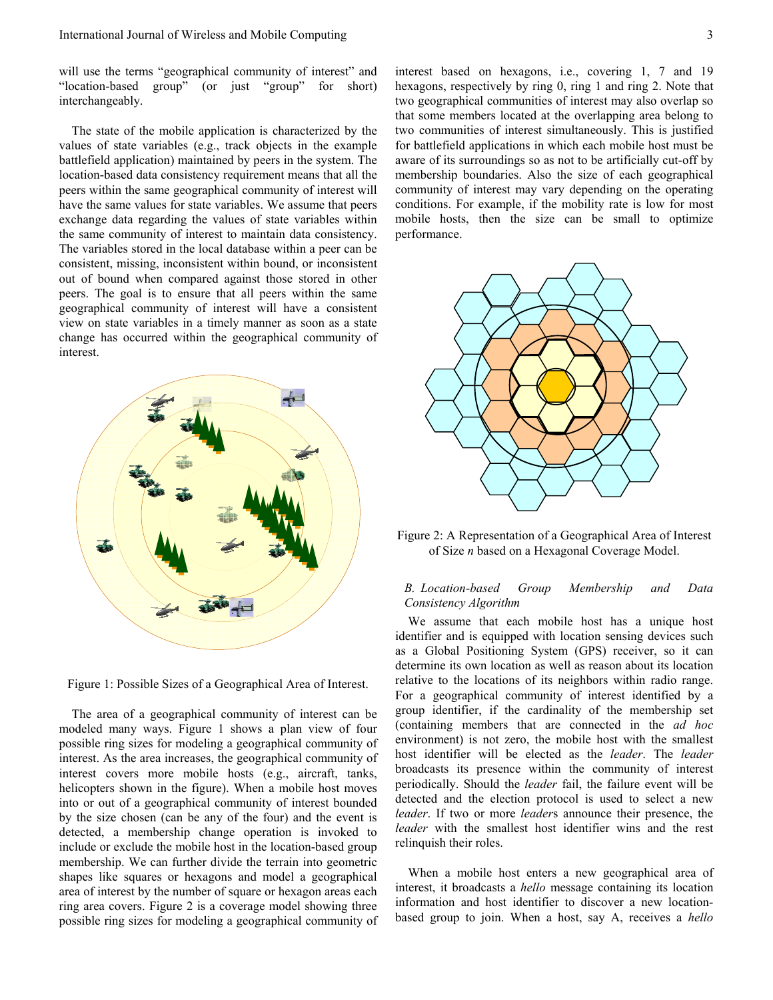will use the terms "geographical community of interest" and "location-based group" (or just "group" for short) interchangeably.

The state of the mobile application is characterized by the values of state variables (e.g., track objects in the example battlefield application) maintained by peers in the system. The location-based data consistency requirement means that all the peers within the same geographical community of interest will have the same values for state variables. We assume that peers exchange data regarding the values of state variables within the same community of interest to maintain data consistency. The variables stored in the local database within a peer can be consistent, missing, inconsistent within bound, or inconsistent out of bound when compared against those stored in other peers. The goal is to ensure that all peers within the same geographical community of interest will have a consistent view on state variables in a timely manner as soon as a state change has occurred within the geographical community of interest.



Figure 1: Possible Sizes of a Geographical Area of Interest.

The area of a geographical community of interest can be modeled many ways. Figure 1 shows a plan view of four possible ring sizes for modeling a geographical community of interest. As the area increases, the geographical community of interest covers more mobile hosts (e.g., aircraft, tanks, helicopters shown in the figure). When a mobile host moves into or out of a geographical community of interest bounded by the size chosen (can be any of the four) and the event is detected, a membership change operation is invoked to include or exclude the mobile host in the location-based group membership. We can further divide the terrain into geometric shapes like squares or hexagons and model a geographical area of interest by the number of square or hexagon areas each ring area covers. Figure 2 is a coverage model showing three possible ring sizes for modeling a geographical community of interest based on hexagons, i.e., covering 1, 7 and 19 hexagons, respectively by ring 0, ring 1 and ring 2. Note that two geographical communities of interest may also overlap so that some members located at the overlapping area belong to two communities of interest simultaneously. This is justified for battlefield applications in which each mobile host must be aware of its surroundings so as not to be artificially cut-off by membership boundaries. Also the size of each geographical community of interest may vary depending on the operating conditions. For example, if the mobility rate is low for most mobile hosts, then the size can be small to optimize performance.



Figure 2: A Representation of a Geographical Area of Interest of Size *n* based on a Hexagonal Coverage Model.

# *B. Location-based Group Membership and Data Consistency Algorithm*

We assume that each mobile host has a unique host identifier and is equipped with location sensing devices such as a Global Positioning System (GPS) receiver, so it can determine its own location as well as reason about its location relative to the locations of its neighbors within radio range. For a geographical community of interest identified by a group identifier, if the cardinality of the membership set (containing members that are connected in the *ad hoc* environment) is not zero, the mobile host with the smallest host identifier will be elected as the *leader*. The *leader* broadcasts its presence within the community of interest periodically. Should the *leader* fail, the failure event will be detected and the election protocol is used to select a new *leader*. If two or more *leader*s announce their presence, the *leader* with the smallest host identifier wins and the rest relinquish their roles.

When a mobile host enters a new geographical area of interest, it broadcasts a *hello* message containing its location information and host identifier to discover a new locationbased group to join. When a host, say A, receives a *hello*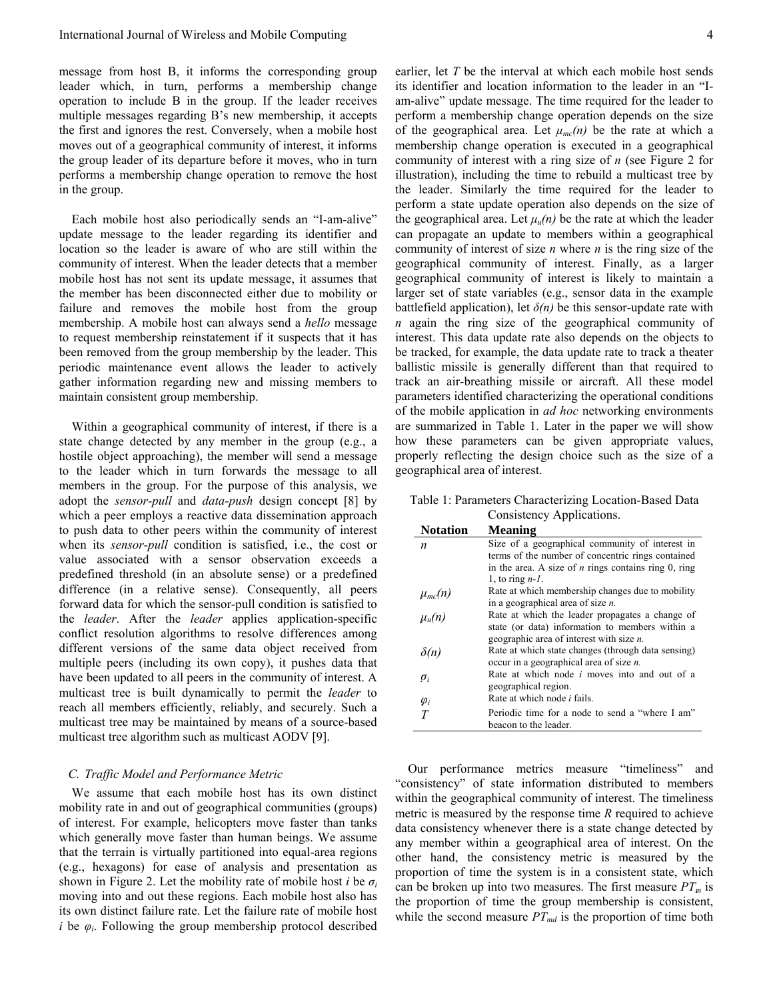message from host B, it informs the corresponding group leader which, in turn, performs a membership change operation to include B in the group. If the leader receives multiple messages regarding B's new membership, it accepts the first and ignores the rest. Conversely, when a mobile host moves out of a geographical community of interest, it informs the group leader of its departure before it moves, who in turn performs a membership change operation to remove the host in the group.

Each mobile host also periodically sends an "I-am-alive" update message to the leader regarding its identifier and location so the leader is aware of who are still within the community of interest. When the leader detects that a member mobile host has not sent its update message, it assumes that the member has been disconnected either due to mobility or failure and removes the mobile host from the group membership. A mobile host can always send a *hello* message to request membership reinstatement if it suspects that it has been removed from the group membership by the leader. This periodic maintenance event allows the leader to actively gather information regarding new and missing members to maintain consistent group membership.

Within a geographical community of interest, if there is a state change detected by any member in the group (e.g., a hostile object approaching), the member will send a message to the leader which in turn forwards the message to all members in the group. For the purpose of this analysis, we adopt the *sensor-pull* and *data-push* design concept [8] by which a peer employs a reactive data dissemination approach to push data to other peers within the community of interest when its *sensor-pull* condition is satisfied, i.e., the cost or value associated with a sensor observation exceeds a predefined threshold (in an absolute sense) or a predefined difference (in a relative sense). Consequently, all peers forward data for which the sensor-pull condition is satisfied to the *leader*. After the *leader* applies application-specific conflict resolution algorithms to resolve differences among different versions of the same data object received from multiple peers (including its own copy), it pushes data that have been updated to all peers in the community of interest. A multicast tree is built dynamically to permit the *leader* to reach all members efficiently, reliably, and securely. Such a multicast tree may be maintained by means of a source-based multicast tree algorithm such as multicast AODV [9].

## *C. Traffic Model and Performance Metric*

We assume that each mobile host has its own distinct mobility rate in and out of geographical communities (groups) of interest. For example, helicopters move faster than tanks which generally move faster than human beings. We assume that the terrain is virtually partitioned into equal-area regions (e.g., hexagons) for ease of analysis and presentation as shown in Figure 2. Let the mobility rate of mobile host *i* be  $\sigma_i$ moving into and out these regions. Each mobile host also has its own distinct failure rate. Let the failure rate of mobile host *i* be  $\varphi_i$ . Following the group membership protocol described

earlier, let *T* be the interval at which each mobile host sends its identifier and location information to the leader in an "Iam-alive" update message. The time required for the leader to perform a membership change operation depends on the size of the geographical area. Let  $\mu_{mc}(n)$  be the rate at which a membership change operation is executed in a geographical community of interest with a ring size of *n* (see Figure 2 for illustration), including the time to rebuild a multicast tree by the leader. Similarly the time required for the leader to perform a state update operation also depends on the size of the geographical area. Let  $\mu_u(n)$  be the rate at which the leader can propagate an update to members within a geographical community of interest of size *n* where *n* is the ring size of the geographical community of interest. Finally, as a larger geographical community of interest is likely to maintain a larger set of state variables (e.g., sensor data in the example battlefield application), let  $\delta(n)$  be this sensor-update rate with *n* again the ring size of the geographical community of interest. This data update rate also depends on the objects to be tracked, for example, the data update rate to track a theater ballistic missile is generally different than that required to track an air-breathing missile or aircraft. All these model parameters identified characterizing the operational conditions of the mobile application in *ad hoc* networking environments are summarized in Table 1. Later in the paper we will show how these parameters can be given appropriate values, properly reflecting the design choice such as the size of a geographical area of interest.

Table 1: Parameters Characterizing Location-Based Data Consistency Applications.

| <b>Notation</b>             | <b>Meaning</b>                                         |
|-----------------------------|--------------------------------------------------------|
| n                           | Size of a geographical community of interest in        |
|                             | terms of the number of concentric rings contained      |
|                             | in the area. A size of $n$ rings contains ring 0, ring |
|                             | 1, to ring $n-1$ .                                     |
|                             | Rate at which membership changes due to mobility       |
|                             | in a geographical area of size $n$ .                   |
| $\mu_{mc}(n)$<br>$\mu_u(n)$ | Rate at which the leader propagates a change of        |
|                             | state (or data) information to members within a        |
|                             | geographic area of interest with size $n$ .            |
| $\delta(n)$                 | Rate at which state changes (through data sensing)     |
|                             | occur in a geographical area of size $n$ .             |
| $\sigma_i$                  | Rate at which node <i>i</i> moves into and out of a    |
|                             | geographical region.                                   |
| $\varphi_i$                 | Rate at which node <i>i</i> fails.                     |
| T                           | Periodic time for a node to send a "where I am"        |
|                             | beacon to the leader.                                  |

Our performance metrics measure "timeliness" and "consistency" of state information distributed to members within the geographical community of interest. The timeliness metric is measured by the response time *R* required to achieve data consistency whenever there is a state change detected by any member within a geographical area of interest. On the other hand, the consistency metric is measured by the proportion of time the system is in a consistent state, which can be broken up into two measures. The first measure  $PT_m$  is the proportion of time the group membership is consistent, while the second measure  $PT_{md}$  is the proportion of time both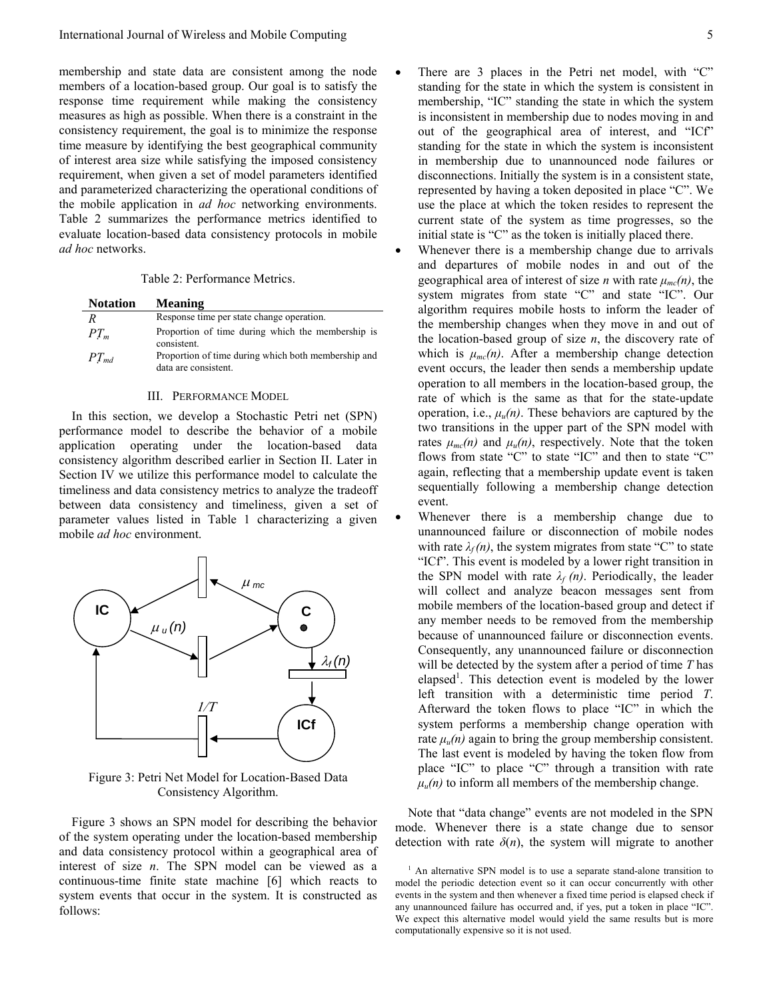membership and state data are consistent among the node members of a location-based group. Our goal is to satisfy the response time requirement while making the consistency measures as high as possible. When there is a constraint in the consistency requirement, the goal is to minimize the response time measure by identifying the best geographical community of interest area size while satisfying the imposed consistency requirement, when given a set of model parameters identified and parameterized characterizing the operational conditions of the mobile application in *ad hoc* networking environments. Table 2 summarizes the performance metrics identified to evaluate location-based data consistency protocols in mobile *ad hoc* networks.

Table 2: Performance Metrics.

| <b>Notation</b> | <b>Meaning</b>                                                              |
|-----------------|-----------------------------------------------------------------------------|
| R               | Response time per state change operation.                                   |
| $PT_m$          | Proportion of time during which the membership is<br>consistent.            |
| $PT_{md}$       | Proportion of time during which both membership and<br>data are consistent. |

### III. PERFORMANCE MODEL

In this section, we develop a Stochastic Petri net (SPN) performance model to describe the behavior of a mobile application operating under the location-based data consistency algorithm described earlier in Section II. Later in Section IV we utilize this performance model to calculate the timeliness and data consistency metrics to analyze the tradeoff between data consistency and timeliness, given a set of parameter values listed in Table 1 characterizing a given mobile *ad hoc* environment.



Figure 3: Petri Net Model for Location-Based Data Consistency Algorithm.

Figure 3 shows an SPN model for describing the behavior of the system operating under the location-based membership and data consistency protocol within a geographical area of interest of size *n*. The SPN model can be viewed as a continuous-time finite state machine [6] which reacts to system events that occur in the system. It is constructed as follows:

- There are 3 places in the Petri net model, with "C" standing for the state in which the system is consistent in membership, "IC" standing the state in which the system is inconsistent in membership due to nodes moving in and out of the geographical area of interest, and "ICf" standing for the state in which the system is inconsistent in membership due to unannounced node failures or disconnections. Initially the system is in a consistent state, represented by having a token deposited in place "C". We use the place at which the token resides to represent the current state of the system as time progresses, so the initial state is "C" as the token is initially placed there.
	- Whenever there is a membership change due to arrivals and departures of mobile nodes in and out of the geographical area of interest of size *n* with rate  $\mu_{mc}(n)$ , the system migrates from state "C" and state "IC". Our algorithm requires mobile hosts to inform the leader of the membership changes when they move in and out of the location-based group of size *n*, the discovery rate of which is  $\mu_{mc}(n)$ . After a membership change detection event occurs, the leader then sends a membership update operation to all members in the location-based group, the rate of which is the same as that for the state-update operation, i.e.,  $\mu_{\nu}(n)$ . These behaviors are captured by the two transitions in the upper part of the SPN model with rates  $\mu_{mc}(n)$  and  $\mu_{u}(n)$ , respectively. Note that the token flows from state "C" to state "IC" and then to state "C" again, reflecting that a membership update event is taken sequentially following a membership change detection event.
- Whenever there is a membership change due to unannounced failure or disconnection of mobile nodes with rate  $\lambda_f(n)$ , the system migrates from state "C" to state "ICf". This event is modeled by a lower right transition in the SPN model with rate  $\lambda_f(n)$ . Periodically, the leader will collect and analyze beacon messages sent from mobile members of the location-based group and detect if any member needs to be removed from the membership because of unannounced failure or disconnection events. Consequently, any unannounced failure or disconnection will be detected by the system after a period of time *T* has elapsed<sup>1</sup>. This detection event is modeled by the lower left transition with a deterministic time period *T*. Afterward the token flows to place "IC" in which the system performs a membership change operation with rate  $\mu_{\nu}(n)$  again to bring the group membership consistent. The last event is modeled by having the token flow from place "IC" to place "C" through a transition with rate  $\mu_u(n)$  to inform all members of the membership change.

Note that "data change" events are not modeled in the SPN mode. Whenever there is a state change due to sensor detection with rate  $\delta(n)$ , the system will migrate to another

<sup>&</sup>lt;sup>1</sup> An alternative SPN model is to use a separate stand-alone transition to model the periodic detection event so it can occur concurrently with other events in the system and then whenever a fixed time period is elapsed check if any unannounced failure has occurred and, if yes, put a token in place "IC". We expect this alternative model would yield the same results but is more computationally expensive so it is not used.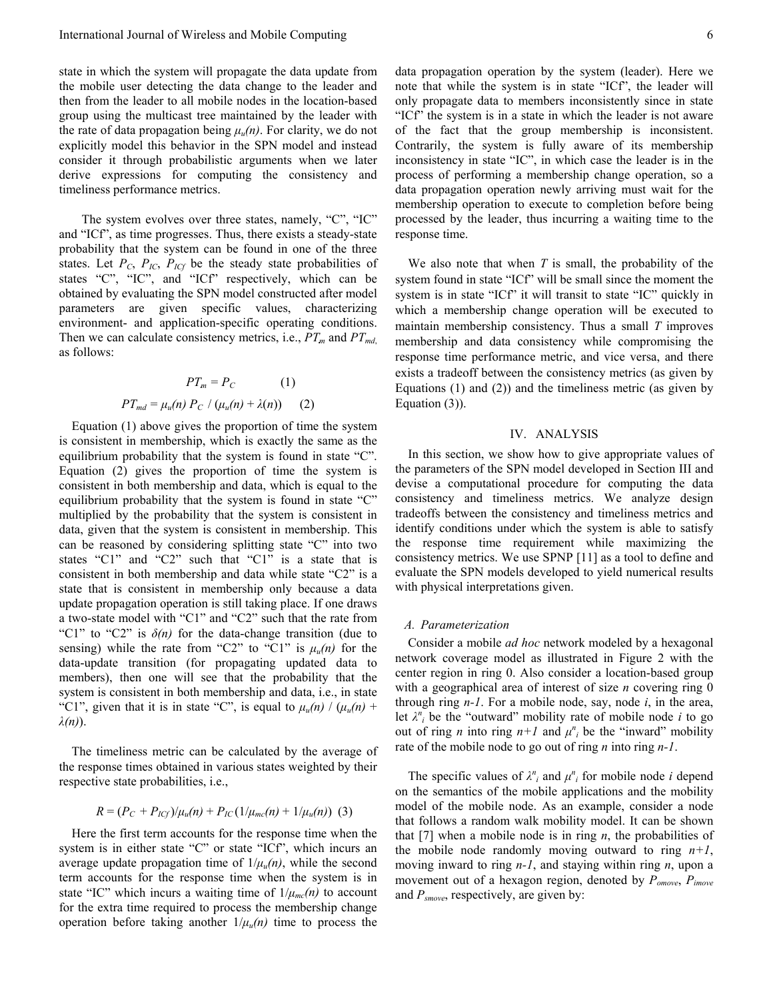state in which the system will propagate the data update from the mobile user detecting the data change to the leader and then from the leader to all mobile nodes in the location-based group using the multicast tree maintained by the leader with the rate of data propagation being  $\mu_u(n)$ . For clarity, we do not explicitly model this behavior in the SPN model and instead consider it through probabilistic arguments when we later derive expressions for computing the consistency and timeliness performance metrics.

The system evolves over three states, namely, "C", "IC" and "ICf", as time progresses. Thus, there exists a steady-state probability that the system can be found in one of the three states. Let  $P_C$ ,  $P_{IC}$ ,  $P_{ICf}$  be the steady state probabilities of states "C", "IC", and "ICf" respectively, which can be obtained by evaluating the SPN model constructed after model parameters are given specific values, characterizing environment- and application-specific operating conditions. Then we can calculate consistency metrics, i.e.,  $PT_m$  and  $PT_{md}$ , as follows:

$$
PT_m = P_C \qquad (1)
$$
  

$$
PT_{md} = \mu_u(n) P_C / (\mu_u(n) + \lambda(n)) \qquad (2)
$$

Equation (1) above gives the proportion of time the system is consistent in membership, which is exactly the same as the equilibrium probability that the system is found in state "C". Equation (2) gives the proportion of time the system is consistent in both membership and data, which is equal to the equilibrium probability that the system is found in state "C" multiplied by the probability that the system is consistent in data, given that the system is consistent in membership. This can be reasoned by considering splitting state "C" into two states "C1" and "C2" such that "C1" is a state that is consistent in both membership and data while state "C2" is a state that is consistent in membership only because a data update propagation operation is still taking place. If one draws a two-state model with "C1" and "C2" such that the rate from "C1" to "C2" is *δ(n)* for the data-change transition (due to sensing) while the rate from "C2" to "C1" is  $\mu_u(n)$  for the data-update transition (for propagating updated data to members), then one will see that the probability that the system is consistent in both membership and data, i.e., in state "C1", given that it is in state "C", is equal to  $\mu_u(n) / (\mu_u(n) +$ *λ(n)*).

The timeliness metric can be calculated by the average of the response times obtained in various states weighted by their respective state probabilities, i.e.,

$$
R = (P_C + P_{ICf})/\mu_u(n) + P_{IC}(1/\mu_{mc}(n) + 1/\mu_u(n))
$$
 (3)

Here the first term accounts for the response time when the system is in either state "C" or state "ICf", which incurs an average update propagation time of  $1/\mu_u(n)$ , while the second term accounts for the response time when the system is in state "IC" which incurs a waiting time of  $1/\mu_{mc}(n)$  to account for the extra time required to process the membership change operation before taking another  $1/\mu_u(n)$  time to process the

data propagation operation by the system (leader). Here we note that while the system is in state "ICf", the leader will only propagate data to members inconsistently since in state "ICf" the system is in a state in which the leader is not aware of the fact that the group membership is inconsistent. Contrarily, the system is fully aware of its membership inconsistency in state "IC", in which case the leader is in the process of performing a membership change operation, so a data propagation operation newly arriving must wait for the membership operation to execute to completion before being processed by the leader, thus incurring a waiting time to the response time.

We also note that when *T* is small, the probability of the system found in state "ICf" will be small since the moment the system is in state "ICf" it will transit to state "IC" quickly in which a membership change operation will be executed to maintain membership consistency. Thus a small *T* improves membership and data consistency while compromising the response time performance metric, and vice versa, and there exists a tradeoff between the consistency metrics (as given by Equations (1) and (2)) and the timeliness metric (as given by Equation (3)).

## IV. ANALYSIS

In this section, we show how to give appropriate values of the parameters of the SPN model developed in Section III and devise a computational procedure for computing the data consistency and timeliness metrics. We analyze design tradeoffs between the consistency and timeliness metrics and identify conditions under which the system is able to satisfy the response time requirement while maximizing the consistency metrics. We use SPNP [11] as a tool to define and evaluate the SPN models developed to yield numerical results with physical interpretations given.

#### *A. Parameterization*

Consider a mobile *ad hoc* network modeled by a hexagonal network coverage model as illustrated in Figure 2 with the center region in ring 0. Also consider a location-based group with a geographical area of interest of size *n* covering ring 0 through ring *n-1*. For a mobile node, say, node *i*, in the area, let  $\lambda^n$  be the "outward" mobility rate of mobile node *i* to go out of ring *n* into ring  $n+1$  and  $\mu^n_i$  be the "inward" mobility rate of the mobile node to go out of ring *n* into ring *n-1*.

The specific values of  $\lambda^n_i$  and  $\mu^n_i$  for mobile node *i* depend on the semantics of the mobile applications and the mobility model of the mobile node. As an example, consider a node that follows a random walk mobility model. It can be shown that [7] when a mobile node is in ring  $n$ , the probabilities of the mobile node randomly moving outward to ring  $n+1$ , moving inward to ring *n-1*, and staying within ring *n*, upon a movement out of a hexagon region, denoted by *Pomove*, *Pimove* and *Psmove*, respectively, are given by: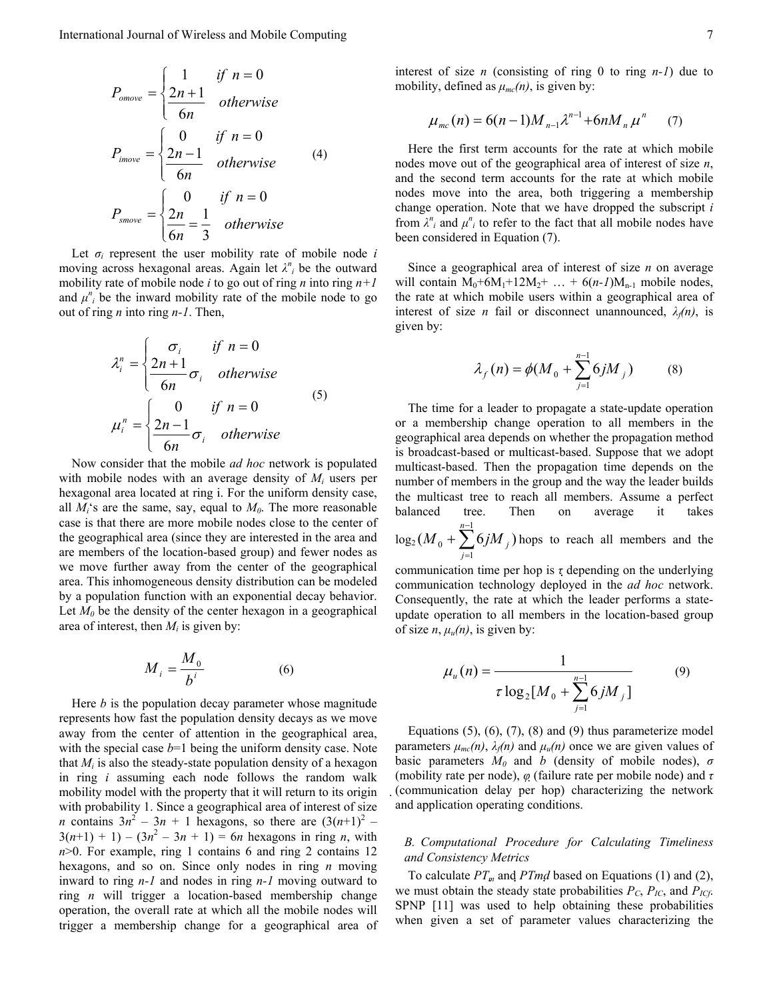$$
P_{omove} = \begin{cases} 1 & \text{if } n = 0\\ \frac{2n+1}{6n} & \text{otherwise} \end{cases}
$$
  

$$
P_{imove} = \begin{cases} 0 & \text{if } n = 0\\ \frac{2n-1}{6n} & \text{otherwise} \end{cases}
$$
 (4)  

$$
P_{smove} = \begin{cases} 0 & \text{if } n = 0\\ \frac{2n}{6n} = \frac{1}{3} & \text{otherwise} \end{cases}
$$

Let  $\sigma_i$  represent the user mobility rate of mobile node *i* moving across hexagonal areas. Again let  $\lambda^n_i$  be the outward mobility rate of mobile node *i* to go out of ring *n* into ring *n+1* and  $\mu^n_i$  be the inward mobility rate of the mobile node to go out of ring *n* into ring *n-1*. Then,

$$
\lambda_i^n = \begin{cases}\n\sigma_i & \text{if } n = 0 \\
\frac{2n+1}{6n}\sigma_i & \text{otherwise}\n\end{cases}
$$
\n
$$
\mu_i^n = \begin{cases}\n0 & \text{if } n = 0 \\
\frac{2n-1}{6n}\sigma_i & \text{otherwise}\n\end{cases}
$$
\n(5)

Now consider that the mobile *ad hoc* network is populated with mobile nodes with an average density of  $M_i$  users per hexagonal area located at ring i. For the uniform density case, all  $M_i$ 's are the same, say, equal to  $M_0$ . The more reasonable case is that there are more mobile nodes close to the center of the geographical area (since they are interested in the area and are members of the location-based group) and fewer nodes as we move further away from the center of the geographical area. This inhomogeneous density distribution can be modeled by a population function with an exponential decay behavior. Let  $M_0$  be the density of the center hexagon in a geographical area of interest, then  $M_i$  is given by:

$$
M_i = \frac{M_0}{b^i} \tag{6}
$$

Here *b* is the population decay parameter whose magnitude represents how fast the population density decays as we move away from the center of attention in the geographical area, with the special case  $b=1$  being the uniform density case. Note that  $M_i$  is also the steady-state population density of a hexagon in ring *i* assuming each node follows the random walk mobility model with the property that it will return to its origin with probability 1. Since a geographical area of interest of size *n* contains  $3n^2 - 3n + 1$  hexagons, so there are  $(3(n+1)^2 3(n+1) + 1 - (3n^2 - 3n + 1) = 6n$  hexagons in ring *n*, with *n*>0. For example, ring 1 contains 6 and ring 2 contains 12 hexagons, and so on. Since only nodes in ring *n* moving inward to ring *n-1* and nodes in ring *n-1* moving outward to ring *n* will trigger a location-based membership change operation, the overall rate at which all the mobile nodes will trigger a membership change for a geographical area of

interest of size *n* (consisting of ring 0 to ring  $n-1$ ) due to mobility, defined as  $\mu_{mc}(n)$ , is given by:

$$
\mu_{mc}(n) = 6(n-1)M_{n-1}\lambda^{n-1} + 6nM_n\mu^n \qquad (7)
$$

Here the first term accounts for the rate at which mobile nodes move out of the geographical area of interest of size *n*, and the second term accounts for the rate at which mobile nodes move into the area, both triggering a membership change operation. Note that we have dropped the subscript *i* from  $\lambda^n_i$  and  $\mu^n_i$  to refer to the fact that all mobile nodes have been considered in Equation (7).

Since a geographical area of interest of size *n* on average will contain  $M_0+6M_1+12M_2+ ... + 6(n-1)M_{n-1}$  mobile nodes, the rate at which mobile users within a geographical area of interest of size *n* fail or disconnect unannounced,  $\lambda_f(n)$ , is given by:

$$
\lambda_f(n) = \phi(M_0 + \sum_{j=1}^{n-1} 6jM_j)
$$
 (8)

The time for a leader to propagate a state-update operation or a membership change operation to all members in the geographical area depends on whether the propagation method is broadcast-based or multicast-based. Suppose that we adopt multicast-based. Then the propagation time depends on the number of members in the group and the way the leader builds the multicast tree to reach all members. Assume a perfect balanced tree. Then on average it takes  $\log_2(M_{\rm 0} + \sum 6jM_{\rm i})$ 1  $_0$  <sup>+</sup>  $\angle$  <sup>v</sup>J<sup>M</sup>  $_j$ *n*  $M_0 + \sum_{j=1}^{n-1} 6jM$  $+\sum_{i} 6jM_{i}$ ) hops to reach all members and the

communication time per hop is *τ* depending on the underlying communication technology deployed in the *ad hoc* network. Consequently, the rate at which the leader performs a stateupdate operation to all members in the location-based group of size *n*,  $\mu_u(n)$ , is given by:

1

=

$$
\mu_u(n) = \frac{1}{\tau \log_2[M_0 + \sum_{j=1}^{n-1} 6jM_j]}
$$
(9)

Equations  $(5)$ ,  $(6)$ ,  $(7)$ ,  $(8)$  and  $(9)$  thus parameterize model parameters  $\mu_{mc}(n)$ ,  $\lambda_f(n)$  and  $\mu_u(n)$  once we are given values of basic parameters  $M_0$  and *b* (density of mobile nodes),  $\sigma$ (mobility rate per node), *φ* (failure rate per mobile node) and *τ* (communication delay per hop) characterizing the network and application operating conditions.

# *B. Computational Procedure for Calculating Timeliness and Consistency Metrics*

To calculate  $PT_m$  and  $PTmd$  based on Equations (1) and (2), we must obtain the steady state probabilities  $P_C$ ,  $P_{IC}$ , and  $P_{ICf}$ . SPNP [11] was used to help obtaining these probabilities when given a set of parameter values characterizing the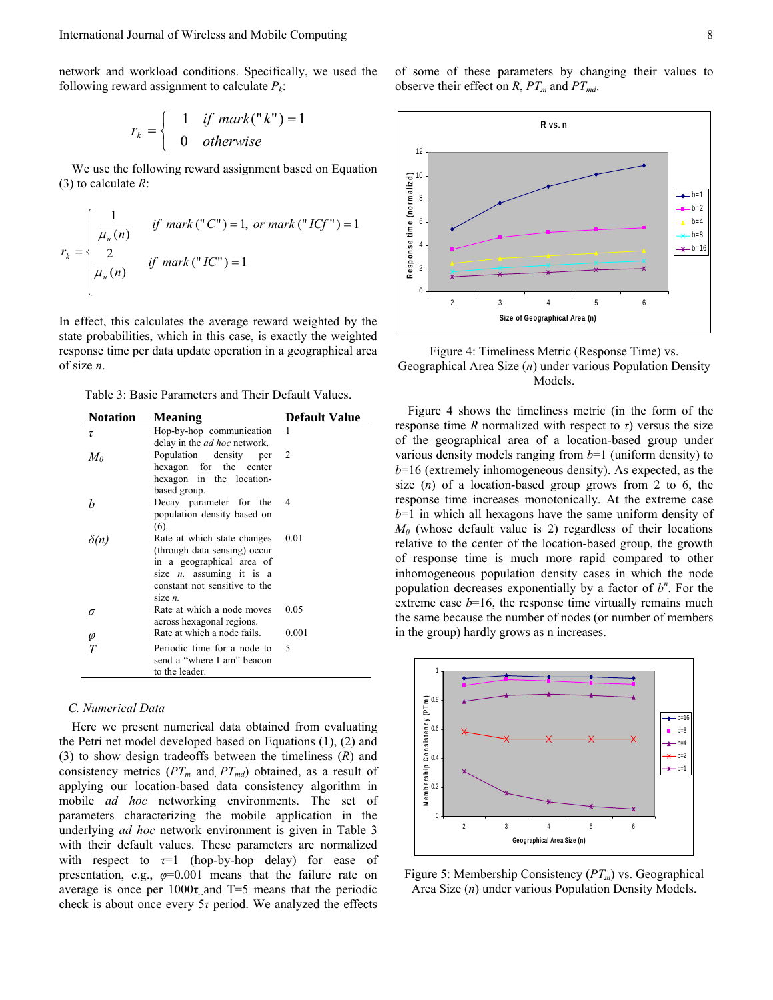network and workload conditions. Specifically, we used the following reward assignment to calculate  $P_k$ :

$$
r_k = \begin{cases} 1 & \text{if } mark("k") = 1 \\ 0 & \text{otherwise} \end{cases}
$$

We use the following reward assignment based on Equation (3) to calculate *R*:

$$
r_k = \begin{cases} \frac{1}{\mu_u(n)} & \text{if } \text{mark } (\text{``}C\text{''}) = 1, \text{ or } \text{mark } (\text{``}IG\text{''}) = 1 \\ \frac{2}{\mu_u(n)} & \text{if } \text{mark } (\text{``}IC\text{''}) = 1 \end{cases}
$$

In effect, this calculates the average reward weighted by the state probabilities, which in this case, is exactly the weighted response time per data update operation in a geographical area of size *n*.

Table 3: Basic Parameters and Their Default Values.

| <b>Notation</b> | <b>Meaning</b>                      | <b>Default Value</b> |  |
|-----------------|-------------------------------------|----------------------|--|
| τ               | Hop-by-hop communication            | 1                    |  |
|                 | delay in the <i>ad hoc</i> network. |                      |  |
| $M_{0}$         | Population density<br>per           | 2                    |  |
|                 | hexagon for the<br>center           |                      |  |
|                 | hexagon in the location-            |                      |  |
|                 | based group.                        |                      |  |
| h               | Decay parameter for the             | 4                    |  |
|                 | population density based on         |                      |  |
|                 | (6).                                |                      |  |
| $\delta(n)$     | Rate at which state changes         | 0.01                 |  |
|                 | (through data sensing) occur        |                      |  |
|                 | in a geographical area of           |                      |  |
|                 | size $n$ , assuming it is a         |                      |  |
|                 | constant not sensitive to the       |                      |  |
|                 | size $n$ .                          |                      |  |
| σ               | Rate at which a node moves          | 0.05                 |  |
|                 | across hexagonal regions.           |                      |  |
| φ               | Rate at which a node fails.         | 0.001                |  |
| Т               | Periodic time for a node to         | 5                    |  |
|                 | send a "where I am" beacon          |                      |  |
|                 | to the leader.                      |                      |  |
|                 |                                     |                      |  |

## *C. Numerical Data*

Here we present numerical data obtained from evaluating the Petri net model developed based on Equations (1), (2) and (3) to show design tradeoffs between the timeliness (*R*) and consistency metrics  $(PT_m \text{ and } PT_{md})$  obtained, as a result of applying our location-based data consistency algorithm in mobile *ad hoc* networking environments. The set of parameters characterizing the mobile application in the underlying *ad hoc* network environment is given in Table 3 with their default values. These parameters are normalized with respect to  $\tau=1$  (hop-by-hop delay) for ease of presentation, e.g.,  $\varphi=0.001$  means that the failure rate on average is once per  $1000\tau$  and T=5 means that the periodic check is about once every 5*τ* period. We analyzed the effects of some of these parameters by changing their values to observe their effect on *R*,  $PT_m$  and  $PT_{md}$ .



Figure 4: Timeliness Metric (Response Time) vs. Geographical Area Size (*n*) under various Population Density Models.

Figure 4 shows the timeliness metric (in the form of the response time *R* normalized with respect to *τ*) versus the size of the geographical area of a location-based group under various density models ranging from *b*=1 (uniform density) to *b*=16 (extremely inhomogeneous density). As expected, as the size (*n*) of a location-based group grows from 2 to 6, the response time increases monotonically. At the extreme case *b*=1 in which all hexagons have the same uniform density of  $M_0$  (whose default value is 2) regardless of their locations relative to the center of the location-based group, the growth of response time is much more rapid compared to other inhomogeneous population density cases in which the node population decreases exponentially by a factor of  $b^n$ . For the extreme case  $b=16$ , the response time virtually remains much the same because the number of nodes (or number of members in the group) hardly grows as n increases.



Figure 5: Membership Consistency (*PTm*) vs. Geographical Area Size (*n*) under various Population Density Models.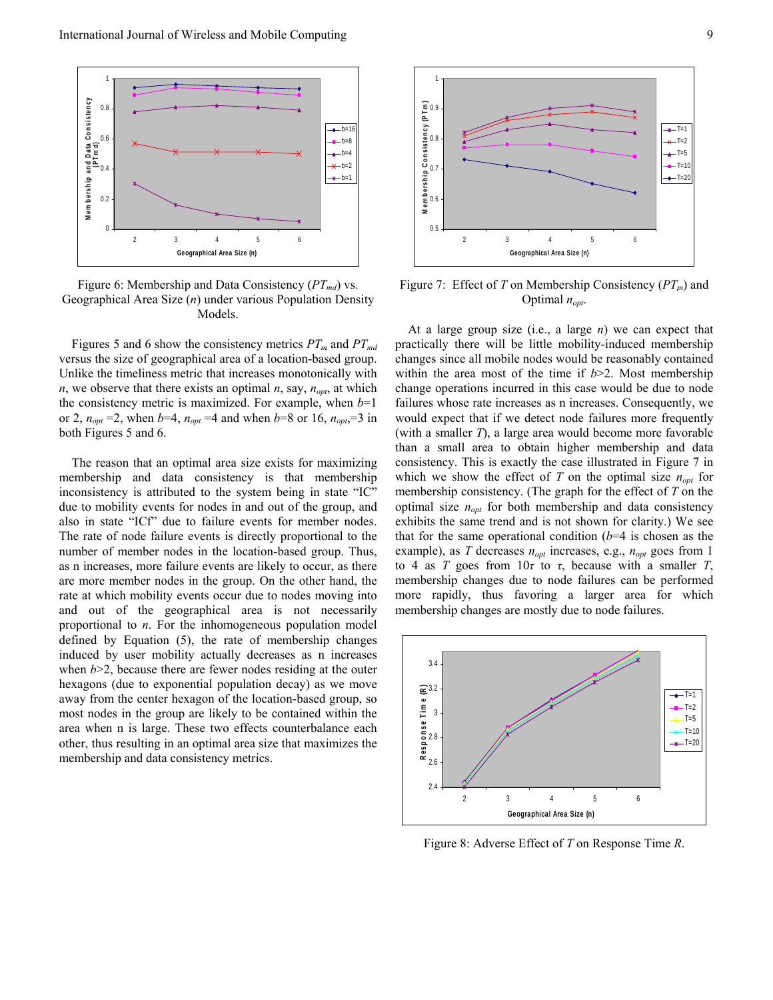

Figure 6: Membership and Data Consistency ( $PT_{md}$ ) vs. Geographical Area Size (*n*) under various Population Density Models.

Figures 5 and 6 show the consistency metrics  $PT_m$  and  $PT_{md}$ versus the size of geographical area of a location-based group. Unlike the timeliness metric that increases monotonically with  $n$ , we observe that there exists an optimal  $n$ , say,  $n_{opt}$ , at which the consistency metric is maximized. For example, when  $b=1$ or 2,  $n_{opt} = 2$ , when *b*=4,  $n_{opt} = 4$  and when *b*=8 or 16,  $n_{opt} = 3$  in both Figures 5 and 6.

The reason that an optimal area size exists for maximizing membership and data consistency is that membership inconsistency is attributed to the system being in state "IC" due to mobility events for nodes in and out of the group, and also in state "ICf" due to failure events for member nodes. The rate of node failure events is directly proportional to the number of member nodes in the location-based group. Thus, as n increases, more failure events are likely to occur, as there are more member nodes in the group. On the other hand, the rate at which mobility events occur due to nodes moving into and out of the geographical area is not necessarily proportional to *n*. For the inhomogeneous population model defined by Equation (5), the rate of membership changes induced by user mobility actually decreases as n increases when *b*>2, because there are fewer nodes residing at the outer hexagons (due to exponential population decay) as we move away from the center hexagon of the location-based group, so most nodes in the group are likely to be contained within the area when n is large. These two effects counterbalance each other, thus resulting in an optimal area size that maximizes the membership and data consistency metrics.



Figure 7: Effect of *T* on Membership Consistency  $(PT_m)$  and Optimal  $n_{\text{opt}}$ .

At a large group size (i.e., a large *n*) we can expect that practically there will be little mobility-induced membership changes since all mobile nodes would be reasonably contained within the area most of the time if *b*>2. Most membership change operations incurred in this case would be due to node failures whose rate increases as n increases. Consequently, we would expect that if we detect node failures more frequently (with a smaller *T*), a large area would become more favorable than a small area to obtain higher membership and data consistency. This is exactly the case illustrated in Figure 7 in which we show the effect of  $T$  on the optimal size  $n_{opt}$  for membership consistency. (The graph for the effect of *T* on the optimal size  $n_{opt}$  for both membership and data consistency exhibits the same trend and is not shown for clarity.) We see that for the same operational condition  $(b=4)$  is chosen as the example), as *T* decreases  $n_{opt}$  increases, e.g.,  $n_{opt}$  goes from 1 to 4 as *T* goes from 10*τ* to *τ*, because with a smaller *T*, membership changes due to node failures can be performed more rapidly, thus favoring a larger area for which membership changes are mostly due to node failures.



Figure 8: Adverse Effect of *T* on Response Time *R*.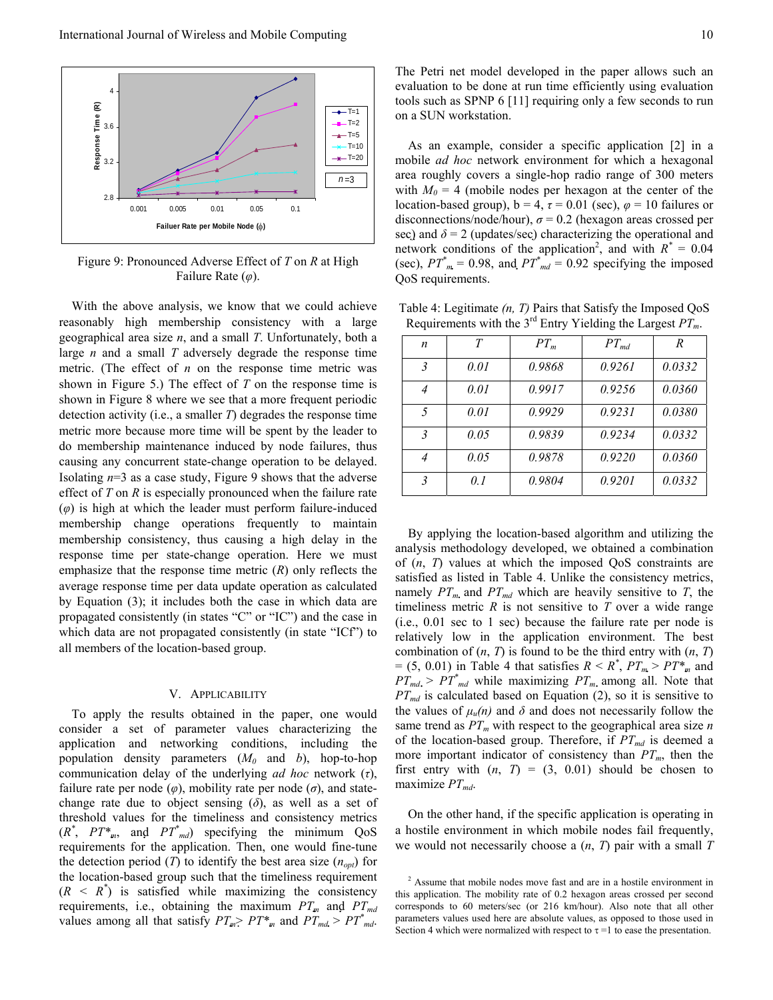

Figure 9: Pronounced Adverse Effect of *T* on *R* at High Failure Rate (*φ*).

With the above analysis, we know that we could achieve reasonably high membership consistency with a large geographical area size *n*, and a small *T*. Unfortunately, both a large *n* and a small *T* adversely degrade the response time metric. (The effect of *n* on the response time metric was shown in Figure 5.) The effect of *T* on the response time is shown in Figure 8 where we see that a more frequent periodic detection activity (i.e., a smaller *T*) degrades the response time metric more because more time will be spent by the leader to do membership maintenance induced by node failures, thus causing any concurrent state-change operation to be delayed. Isolating *n*=3 as a case study, Figure 9 shows that the adverse effect of *T* on *R* is especially pronounced when the failure rate  $(\varphi)$  is high at which the leader must perform failure-induced membership change operations frequently to maintain membership consistency, thus causing a high delay in the response time per state-change operation. Here we must emphasize that the response time metric (*R*) only reflects the average response time per data update operation as calculated by Equation (3); it includes both the case in which data are propagated consistently (in states "C" or "IC") and the case in which data are not propagated consistently (in state "ICf") to all members of the location-based group.

## V. APPLICABILITY

To apply the results obtained in the paper, one would consider a set of parameter values characterizing the application and networking conditions, including the population density parameters  $(M_0$  and *b*), hop-to-hop communication delay of the underlying *ad hoc* network (*τ*), failure rate per node  $(\varphi)$ , mobility rate per node  $(\sigma)$ , and statechange rate due to object sensing (*δ*), as well as a set of threshold values for the timeliness and consistency metrics  $(R^*, PT^*_{m}$ , and  $PT^*_{md}$ ) specifying the minimum QoS requirements for the application. Then, one would fine-tune the detection period (*T*) to identify the best area size  $(n_{opt})$  for the location-based group such that the timeliness requirement  $(R \leq R^*)$  is satisfied while maximizing the consistency requirements, i.e., obtaining the maximum  $PT<sub>m</sub>$  and  $PT<sub>md</sub>$ values among all that satisfy  $PT_{m}$  $\geq PT^*_{m}$  and  $PT_{md}$   $\geq PT^*_{md}$ . The Petri net model developed in the paper allows such an evaluation to be done at run time efficiently using evaluation tools such as SPNP 6 [11] requiring only a few seconds to run on a SUN workstation.

As an example, consider a specific application [2] in a mobile *ad hoc* network environment for which a hexagonal area roughly covers a single-hop radio range of 300 meters with  $M_0 = 4$  (mobile nodes per hexagon at the center of the location-based group),  $b = 4$ ,  $\tau = 0.01$  (sec),  $\varphi = 10$  failures or disconnections/node/hour),  $\sigma$  = 0.2 (hexagon areas crossed per sec) and  $\delta$  = 2 (updates/sec) characterizing the operational and network conditions of the application<sup>2</sup>, and with  $R^* = 0.04$ (sec),  $PT^*_{m} = 0.98$ , and  $PT^*_{md} = 0.92$  specifying the imposed QoS requirements.

Table 4: Legitimate *(n, T)* Pairs that Satisfy the Imposed QoS Requirements with the  $3^{rd}$  Entry Yielding the Largest  $PT_m$ .

| n              | T    | $PT_m$ | $PT_{md}$ | R      |
|----------------|------|--------|-----------|--------|
| $\overline{3}$ | 0.01 | 0.9868 | 0.9261    | 0.0332 |
| 4              | 0.01 | 0.9917 | 0.9256    | 0.0360 |
| 5              | 0.01 | 0.9929 | 0.9231    | 0.0380 |
| $\overline{3}$ | 0.05 | 0.9839 | 0.9234    | 0.0332 |
| 4              | 0.05 | 0.9878 | 0.9220    | 0.0360 |
| $\overline{3}$ | 0.1  | 0.9804 | 0.9201    | 0.0332 |

By applying the location-based algorithm and utilizing the analysis methodology developed, we obtained a combination of (*n*, *T*) values at which the imposed QoS constraints are satisfied as listed in Table 4. Unlike the consistency metrics, namely  $PT_m$  and  $PT_{md}$  which are heavily sensitive to *T*, the timeliness metric  $R$  is not sensitive to  $T$  over a wide range (i.e., 0.01 sec to 1 sec) because the failure rate per node is relatively low in the application environment. The best combination of  $(n, T)$  is found to be the third entry with  $(n, T)$  $= (5, 0.01)$  in Table 4 that satisfies  $R < R^*$ ,  $PT_m > PT^*$  and  $PT_{md}$  >  $PT^*_{md}$  while maximizing  $PT_m$  among all. Note that  $PT_{md}$  is calculated based on Equation (2), so it is sensitive to the values of  $\mu_u(n)$  and  $\delta$  and does not necessarily follow the same trend as  $PT_m$  with respect to the geographical area size *n* of the location-based group. Therefore, if  $PT_{md}$  is deemed a more important indicator of consistency than  $PT_m$ , then the first entry with  $(n, T) = (3, 0.01)$  should be chosen to maximize  $PT_{md}$ .

On the other hand, if the specific application is operating in a hostile environment in which mobile nodes fail frequently, we would not necessarily choose a (*n*, *T*) pair with a small *T*

<sup>&</sup>lt;sup>2</sup> Assume that mobile nodes move fast and are in a hostile environment in this application. The mobility rate of 0.2 hexagon areas crossed per second corresponds to 60 meters/sec (or 216 km/hour). Also note that all other parameters values used here are absolute values, as opposed to those used in Section 4 which were normalized with respect to  $\tau = 1$  to ease the presentation.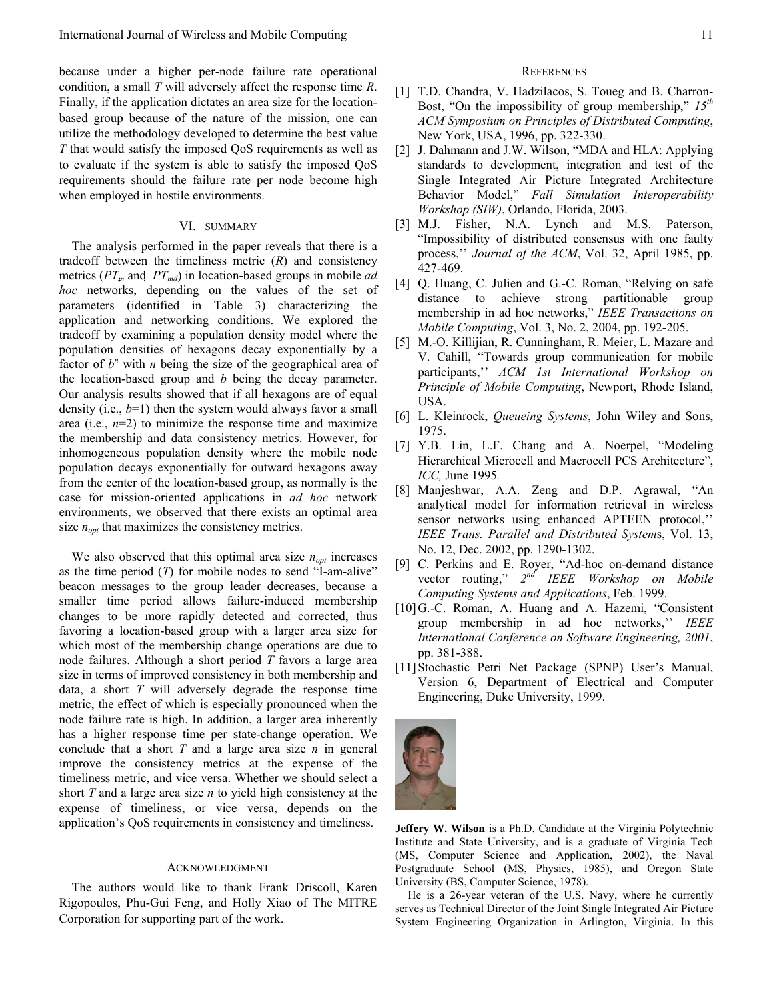because under a higher per-node failure rate operational condition, a small *T* will adversely affect the response time *R*. Finally, if the application dictates an area size for the locationbased group because of the nature of the mission, one can utilize the methodology developed to determine the best value *T* that would satisfy the imposed QoS requirements as well as to evaluate if the system is able to satisfy the imposed QoS requirements should the failure rate per node become high when employed in hostile environments.

## VI. SUMMARY

The analysis performed in the paper reveals that there is a tradeoff between the timeliness metric (*R*) and consistency metrics ( $PT<sub>m</sub>$  and  $PT<sub>md</sub>$ ) in location-based groups in mobile *ad hoc* networks, depending on the values of the set of parameters (identified in Table 3) characterizing the application and networking conditions. We explored the tradeoff by examining a population density model where the population densities of hexagons decay exponentially by a factor of  $b^n$  with *n* being the size of the geographical area of the location-based group and *b* being the decay parameter. Our analysis results showed that if all hexagons are of equal density (i.e., *b*=1) then the system would always favor a small area (i.e.,  $n=2$ ) to minimize the response time and maximize the membership and data consistency metrics. However, for inhomogeneous population density where the mobile node population decays exponentially for outward hexagons away from the center of the location-based group, as normally is the case for mission-oriented applications in *ad hoc* network environments, we observed that there exists an optimal area size  $n_{opt}$  that maximizes the consistency metrics.

We also observed that this optimal area size  $n_{opt}$  increases as the time period (*T*) for mobile nodes to send "I-am-alive" beacon messages to the group leader decreases, because a smaller time period allows failure-induced membership changes to be more rapidly detected and corrected, thus favoring a location-based group with a larger area size for which most of the membership change operations are due to node failures. Although a short period *T* favors a large area size in terms of improved consistency in both membership and data, a short *T* will adversely degrade the response time metric, the effect of which is especially pronounced when the node failure rate is high. In addition, a larger area inherently has a higher response time per state-change operation. We conclude that a short *T* and a large area size *n* in general improve the consistency metrics at the expense of the timeliness metric, and vice versa. Whether we should select a short *T* and a large area size *n* to yield high consistency at the expense of timeliness, or vice versa, depends on the application's QoS requirements in consistency and timeliness.

#### ACKNOWLEDGMENT

The authors would like to thank Frank Driscoll, Karen Rigopoulos, Phu-Gui Feng, and Holly Xiao of The MITRE Corporation for supporting part of the work.

#### **REFERENCES**

- [1] T.D. Chandra, V. Hadzilacos, S. Toueg and B. Charron-Bost, "On the impossibility of group membership," *15th ACM Symposium on Principles of Distributed Computing*, New York, USA, 1996, pp. 322-330.
- [2] J. Dahmann and J.W. Wilson, "MDA and HLA: Applying standards to development, integration and test of the Single Integrated Air Picture Integrated Architecture Behavior Model," *Fall Simulation Interoperability Workshop (SIW)*, Orlando, Florida, 2003.
- [3] M.J. Fisher, N.A. Lynch and M.S. Paterson, "Impossibility of distributed consensus with one faulty process,'' *Journal of the ACM*, Vol. 32, April 1985, pp. 427-469.
- [4] Q. Huang, C. Julien and G.-C. Roman, "Relying on safe distance to achieve strong partitionable group membership in ad hoc networks," *IEEE Transactions on Mobile Computing*, Vol. 3, No. 2, 2004, pp. 192-205.
- [5] M.-O. Killijian, R. Cunningham, R. Meier, L. Mazare and V. Cahill, "Towards group communication for mobile participants,'' *ACM 1st International Workshop on Principle of Mobile Computing*, Newport, Rhode Island, USA.
- [6] L. Kleinrock, *Queueing Systems*, John Wiley and Sons, 1975.
- [7] Y.B. Lin, L.F. Chang and A. Noerpel, "Modeling Hierarchical Microcell and Macrocell PCS Architecture", *ICC,* June 1995*.*
- [8] Manjeshwar, A.A. Zeng and D.P. Agrawal, "An analytical model for information retrieval in wireless sensor networks using enhanced APTEEN protocol,'' *IEEE Trans. Parallel and Distributed System*s, Vol. 13, No. 12, Dec. 2002, pp. 1290-1302.
- [9] C. Perkins and E. Royer, "Ad-hoc on-demand distance vector routing," *2nd IEEE Workshop on Mobile Computing Systems and Applications*, Feb. 1999.
- [10]G.-C. Roman, A. Huang and A. Hazemi, "Consistent group membership in ad hoc networks,'' *IEEE International Conference on Software Engineering, 2001*, pp. 381-388.
- [11]Stochastic Petri Net Package (SPNP) User's Manual, Version 6, Department of Electrical and Computer Engineering, Duke University, 1999.



**Jeffery W. Wilson** is a Ph.D. Candidate at the Virginia Polytechnic Institute and State University, and is a graduate of Virginia Tech (MS, Computer Science and Application, 2002), the Naval Postgraduate School (MS, Physics, 1985), and Oregon State University (BS, Computer Science, 1978).

He is a 26-year veteran of the U.S. Navy, where he currently serves as Technical Director of the Joint Single Integrated Air Picture System Engineering Organization in Arlington, Virginia. In this